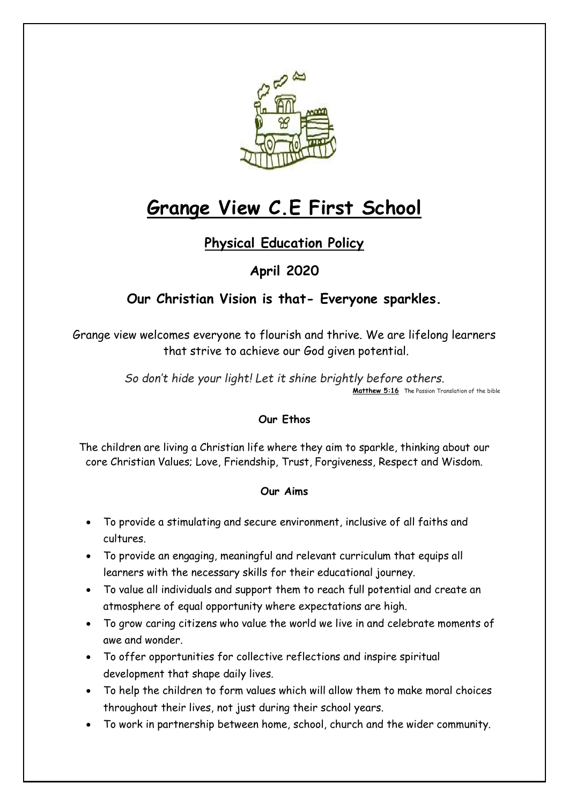

# **Grange View C.E First School**

# **Physical Education Policy**

# **April 2020**

# **Our Christian Vision is that- Everyone sparkles.**

Grange view welcomes everyone to flourish and thrive. We are lifelong learners that strive to achieve our God given potential.

> *So don't hide your light! Let it shine brightly before others.* **[Matthew 5:16](https://www.biblegateway.com/passage/?search=Matthew+5%3A16&version=TPT)** The Passion Translation of the bible

# **Our Ethos**

The children are living a Christian life where they aim to sparkle, thinking about our core Christian Values; Love, Friendship, Trust, Forgiveness, Respect and Wisdom.

#### **Our Aims**

- To provide a stimulating and secure environment, inclusive of all faiths and cultures.
- To provide an engaging, meaningful and relevant curriculum that equips all learners with the necessary skills for their educational journey.
- To value all individuals and support them to reach full potential and create an atmosphere of equal opportunity where expectations are high.
- To grow caring citizens who value the world we live in and celebrate moments of awe and wonder.
- To offer opportunities for collective reflections and inspire spiritual development that shape daily lives.
- To help the children to form values which will allow them to make moral choices throughout their lives, not just during their school years.
- To work in partnership between home, school, church and the wider community.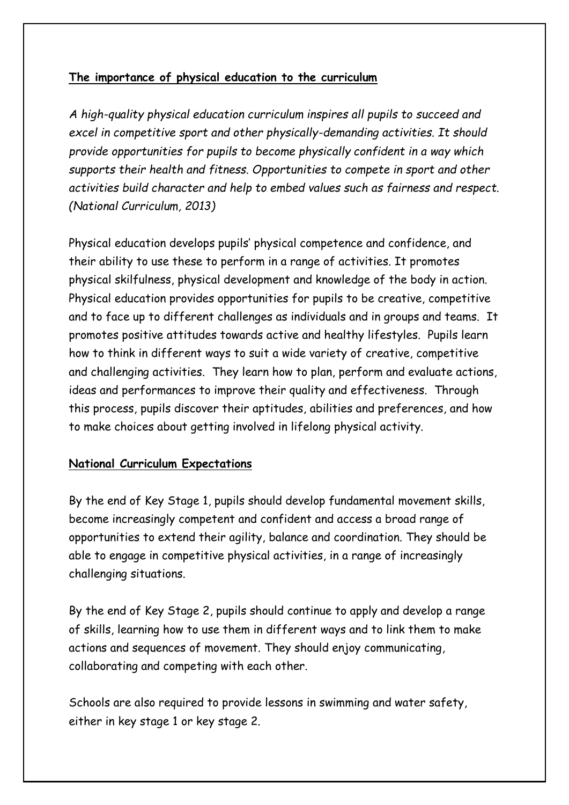# **The importance of physical education to the curriculum**

*A high-quality physical education curriculum inspires all pupils to succeed and excel in competitive sport and other physically-demanding activities. It should provide opportunities for pupils to become physically confident in a way which supports their health and fitness. Opportunities to compete in sport and other activities build character and help to embed values such as fairness and respect. (National Curriculum, 2013)*

Physical education develops pupils' physical competence and confidence, and their ability to use these to perform in a range of activities. It promotes physical skilfulness, physical development and knowledge of the body in action. Physical education provides opportunities for pupils to be creative, competitive and to face up to different challenges as individuals and in groups and teams. It promotes positive attitudes towards active and healthy lifestyles. Pupils learn how to think in different ways to suit a wide variety of creative, competitive and challenging activities. They learn how to plan, perform and evaluate actions, ideas and performances to improve their quality and effectiveness. Through this process, pupils discover their aptitudes, abilities and preferences, and how to make choices about getting involved in lifelong physical activity.

#### **National Curriculum Expectations**

By the end of Key Stage 1, pupils should develop fundamental movement skills, become increasingly competent and confident and access a broad range of opportunities to extend their agility, balance and coordination. They should be able to engage in competitive physical activities, in a range of increasingly challenging situations.

By the end of Key Stage 2, pupils should continue to apply and develop a range of skills, learning how to use them in different ways and to link them to make actions and sequences of movement. They should enjoy communicating, collaborating and competing with each other.

Schools are also required to provide lessons in swimming and water safety, either in key stage 1 or key stage 2.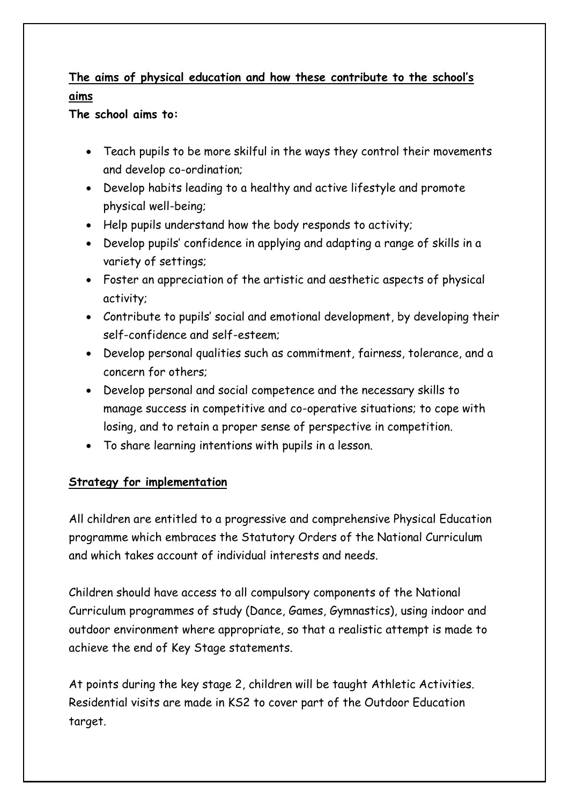# **The aims of physical education and how these contribute to the school's aims**

**The school aims to:**

- Teach pupils to be more skilful in the ways they control their movements and develop co-ordination;
- Develop habits leading to a healthy and active lifestyle and promote physical well-being;
- Help pupils understand how the body responds to activity;
- Develop pupils' confidence in applying and adapting a range of skills in a variety of settings;
- Foster an appreciation of the artistic and aesthetic aspects of physical activity;
- Contribute to pupils' social and emotional development, by developing their self-confidence and self-esteem;
- Develop personal qualities such as commitment, fairness, tolerance, and a concern for others;
- Develop personal and social competence and the necessary skills to manage success in competitive and co-operative situations; to cope with losing, and to retain a proper sense of perspective in competition.
- To share learning intentions with pupils in a lesson.

# **Strategy for implementation**

All children are entitled to a progressive and comprehensive Physical Education programme which embraces the Statutory Orders of the National Curriculum and which takes account of individual interests and needs.

Children should have access to all compulsory components of the National Curriculum programmes of study (Dance, Games, Gymnastics), using indoor and outdoor environment where appropriate, so that a realistic attempt is made to achieve the end of Key Stage statements.

At points during the key stage 2, children will be taught Athletic Activities. Residential visits are made in KS2 to cover part of the Outdoor Education target.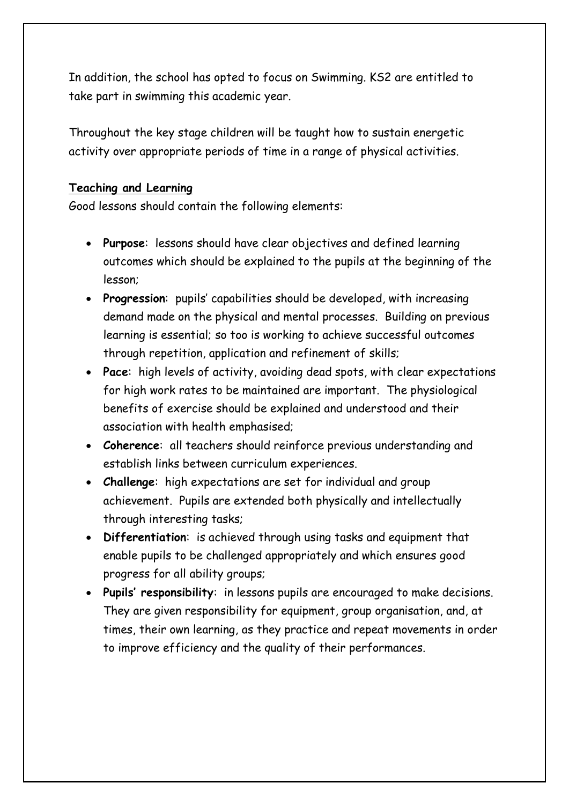In addition, the school has opted to focus on Swimming. KS2 are entitled to take part in swimming this academic year.

Throughout the key stage children will be taught how to sustain energetic activity over appropriate periods of time in a range of physical activities.

#### **Teaching and Learning**

Good lessons should contain the following elements:

- **Purpose**: lessons should have clear objectives and defined learning outcomes which should be explained to the pupils at the beginning of the lesson;
- **Progression**: pupils' capabilities should be developed, with increasing demand made on the physical and mental processes. Building on previous learning is essential; so too is working to achieve successful outcomes through repetition, application and refinement of skills;
- **Pace**: high levels of activity, avoiding dead spots, with clear expectations for high work rates to be maintained are important. The physiological benefits of exercise should be explained and understood and their association with health emphasised;
- **Coherence**: all teachers should reinforce previous understanding and establish links between curriculum experiences.
- **Challenge**: high expectations are set for individual and group achievement. Pupils are extended both physically and intellectually through interesting tasks;
- **Differentiation**: is achieved through using tasks and equipment that enable pupils to be challenged appropriately and which ensures good progress for all ability groups;
- **Pupils' responsibility**: in lessons pupils are encouraged to make decisions. They are given responsibility for equipment, group organisation, and, at times, their own learning, as they practice and repeat movements in order to improve efficiency and the quality of their performances.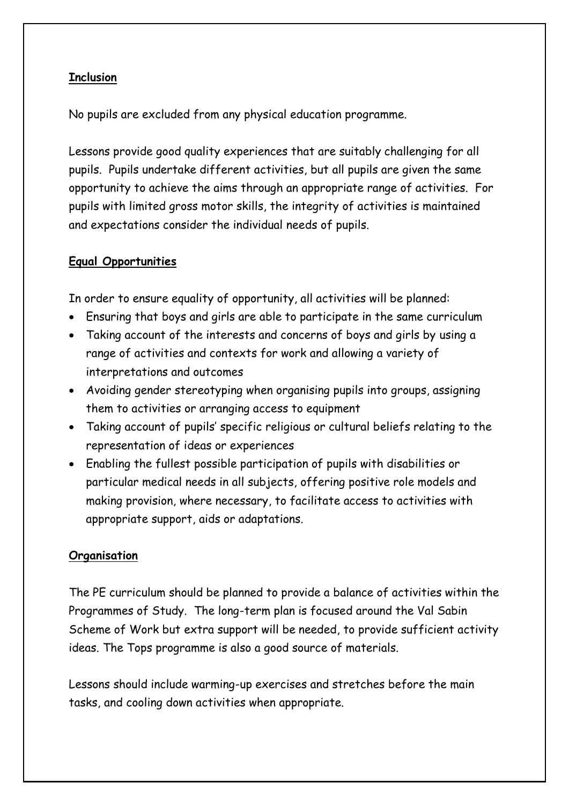### **Inclusion**

No pupils are excluded from any physical education programme.

Lessons provide good quality experiences that are suitably challenging for all pupils. Pupils undertake different activities, but all pupils are given the same opportunity to achieve the aims through an appropriate range of activities. For pupils with limited gross motor skills, the integrity of activities is maintained and expectations consider the individual needs of pupils.

#### **Equal Opportunities**

In order to ensure equality of opportunity, all activities will be planned:

- Ensuring that boys and girls are able to participate in the same curriculum
- Taking account of the interests and concerns of boys and girls by using a range of activities and contexts for work and allowing a variety of interpretations and outcomes
- Avoiding gender stereotyping when organising pupils into groups, assigning them to activities or arranging access to equipment
- Taking account of pupils' specific religious or cultural beliefs relating to the representation of ideas or experiences
- Enabling the fullest possible participation of pupils with disabilities or particular medical needs in all subjects, offering positive role models and making provision, where necessary, to facilitate access to activities with appropriate support, aids or adaptations.

# **Organisation**

The PE curriculum should be planned to provide a balance of activities within the Programmes of Study. The long-term plan is focused around the Val Sabin Scheme of Work but extra support will be needed, to provide sufficient activity ideas. The Tops programme is also a good source of materials.

Lessons should include warming-up exercises and stretches before the main tasks, and cooling down activities when appropriate.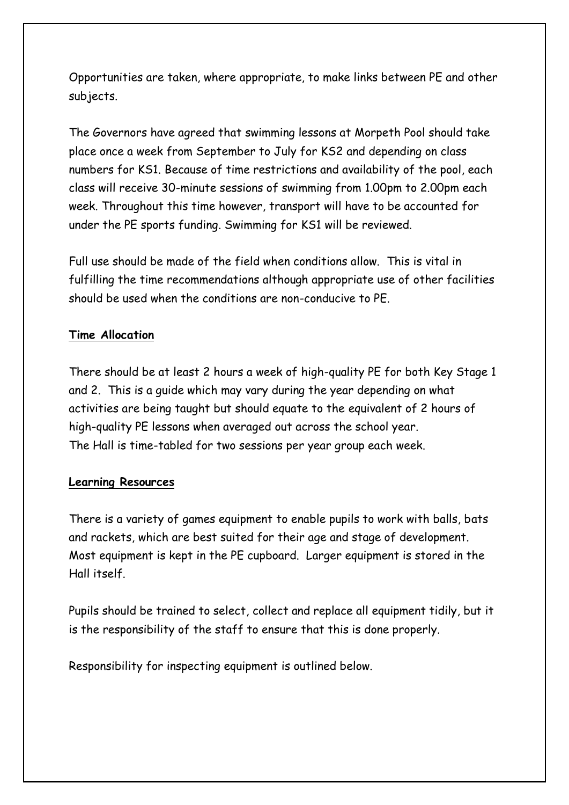Opportunities are taken, where appropriate, to make links between PE and other subjects.

The Governors have agreed that swimming lessons at Morpeth Pool should take place once a week from September to July for KS2 and depending on class numbers for KS1. Because of time restrictions and availability of the pool, each class will receive 30-minute sessions of swimming from 1.00pm to 2.00pm each week. Throughout this time however, transport will have to be accounted for under the PE sports funding. Swimming for KS1 will be reviewed.

Full use should be made of the field when conditions allow. This is vital in fulfilling the time recommendations although appropriate use of other facilities should be used when the conditions are non-conducive to PE.

# **Time Allocation**

There should be at least 2 hours a week of high-quality PE for both Key Stage 1 and 2. This is a guide which may vary during the year depending on what activities are being taught but should equate to the equivalent of 2 hours of high-quality PE lessons when averaged out across the school year. The Hall is time-tabled for two sessions per year group each week.

#### **Learning Resources**

There is a variety of games equipment to enable pupils to work with balls, bats and rackets, which are best suited for their age and stage of development. Most equipment is kept in the PE cupboard. Larger equipment is stored in the Hall itself.

Pupils should be trained to select, collect and replace all equipment tidily, but it is the responsibility of the staff to ensure that this is done properly.

Responsibility for inspecting equipment is outlined below.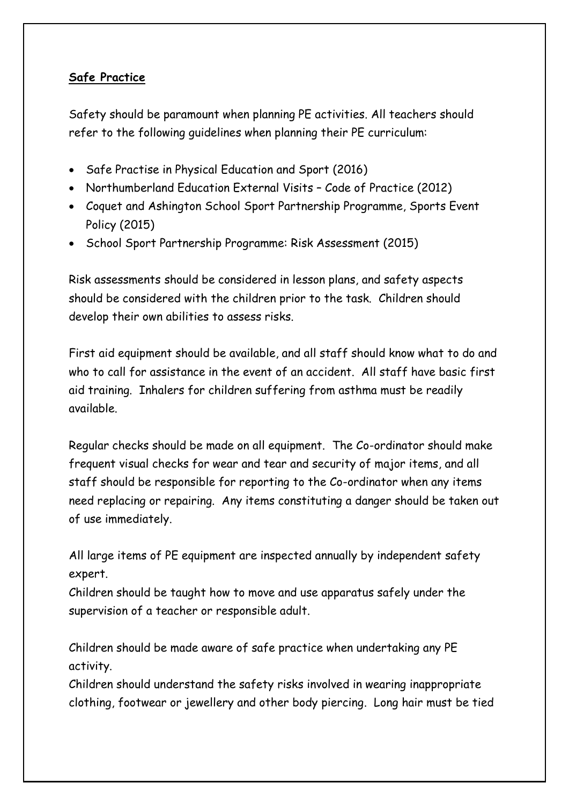# **Safe Practice**

Safety should be paramount when planning PE activities. All teachers should refer to the following guidelines when planning their PE curriculum:

- Safe Practise in Physical Education and Sport (2016)
- Northumberland Education External Visits Code of Practice (2012)
- Coquet and Ashington School Sport Partnership Programme, Sports Event Policy (2015)
- School Sport Partnership Programme: Risk Assessment (2015)

Risk assessments should be considered in lesson plans, and safety aspects should be considered with the children prior to the task. Children should develop their own abilities to assess risks.

First aid equipment should be available, and all staff should know what to do and who to call for assistance in the event of an accident. All staff have basic first aid training. Inhalers for children suffering from asthma must be readily available.

Regular checks should be made on all equipment. The Co-ordinator should make frequent visual checks for wear and tear and security of major items, and all staff should be responsible for reporting to the Co-ordinator when any items need replacing or repairing. Any items constituting a danger should be taken out of use immediately.

All large items of PE equipment are inspected annually by independent safety expert.

Children should be taught how to move and use apparatus safely under the supervision of a teacher or responsible adult.

Children should be made aware of safe practice when undertaking any PE activity.

Children should understand the safety risks involved in wearing inappropriate clothing, footwear or jewellery and other body piercing. Long hair must be tied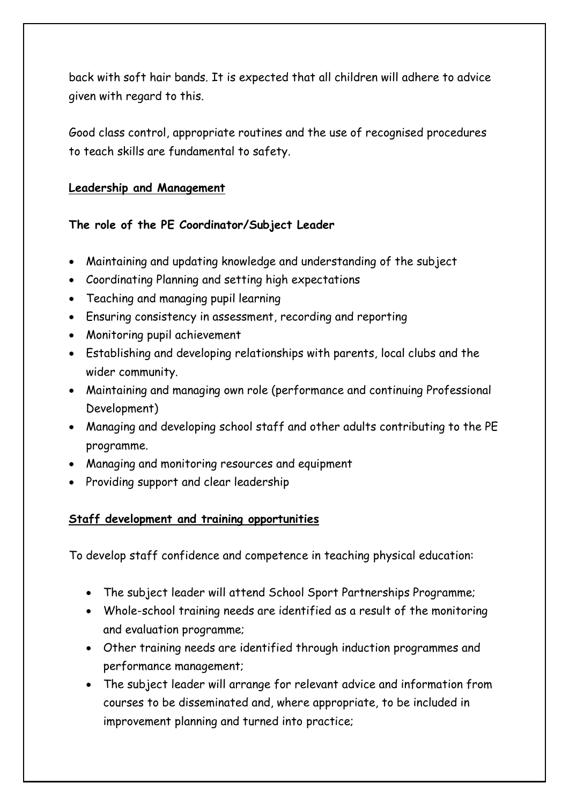back with soft hair bands. It is expected that all children will adhere to advice given with regard to this.

Good class control, appropriate routines and the use of recognised procedures to teach skills are fundamental to safety.

#### **Leadership and Management**

**The role of the PE Coordinator/Subject Leader** 

- Maintaining and updating knowledge and understanding of the subject
- Coordinating Planning and setting high expectations
- Teaching and managing pupil learning
- Ensuring consistency in assessment, recording and reporting
- Monitoring pupil achievement
- Establishing and developing relationships with parents, local clubs and the wider community.
- Maintaining and managing own role (performance and continuing Professional Development)
- Managing and developing school staff and other adults contributing to the PE programme.
- Managing and monitoring resources and equipment
- Providing support and clear leadership

# **Staff development and training opportunities**

To develop staff confidence and competence in teaching physical education:

- The subject leader will attend School Sport Partnerships Programme;
- Whole-school training needs are identified as a result of the monitoring and evaluation programme;
- Other training needs are identified through induction programmes and performance management;
- The subject leader will arrange for relevant advice and information from courses to be disseminated and, where appropriate, to be included in improvement planning and turned into practice;